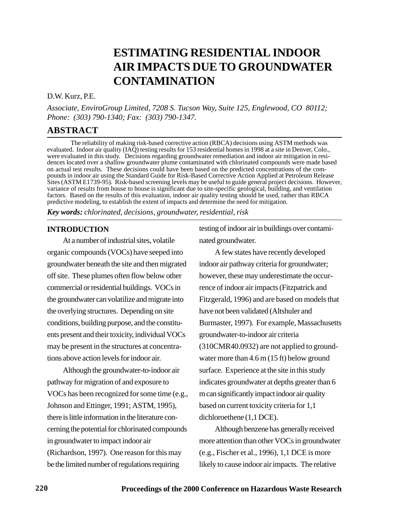# **ESTIMATING RESIDENTIAL INDOOR AIR IMPACTS DUE TO GROUNDWATER CONTAMINATION**

#### D.W. Kurz, P.E.

*Associate, EnviroGroup Limited, 7208 S. Tucson Way, Suite 125, Englewood, CO 80112; Phone: (303) 790-1340; Fax: (303) 790-1347.*

# **ABSTRACT**

The reliability of making risk-based corrective action (RBCA) decisions using ASTM methods was evaluated. Indoor air quality (IAQ) testing results for 153 residential homes in 1998 at a site in Denver, Colo., were evaluated in this study. Decisions regarding groundwater remediation and indoor air mitigation in residences located over a shallow groundwater plume contaminated with chlorinated compounds were made based on actual test results. These decisions could have been based on the predicted concentrations of the compounds in indoor air using the Standard Guide for Risk-Based Corrective Action Applied at Petroleum Release Sites (ASTM E1739-95). Risk-based screening levels may be useful to guide general project decisions. However, variance of results from house to house is significant due to site-specific geological, building, and ventilation factors. Based on the results of this evaluation, indoor air quality testing should be used, rather than RBCA predictive modeling, to establish the extent of impacts and determine the need for mitigation.

*Key words: chlorinated, decisions, groundwater, residential, risk*

## **INTRODUCTION**

At a number of industrial sites, volatile organic compounds (VOCs) have seeped into groundwater beneath the site and then migrated off site. These plumes often flow below other commercial or residential buildings. VOCs in the groundwater can volatilize and migrate into the overlying structures. Depending on site conditions, building purpose, and the constituents present and their toxicity, individual VOCs may be present in the structures at concentrations above action levels for indoor air.

Although the groundwater-to-indoor air pathway for migration of and exposure to VOCs has been recognized for some time (e.g., Johnson and Ettinger, 1991; ASTM, 1995), there is little information in the literature concerning the potential for chlorinated compounds in groundwater to impact indoor air (Richardson, 1997). One reason for this may be the limited number of regulations requiring

testing of indoor air in buildings over contaminated groundwater.

A few states have recently developed indoor air pathway criteria for groundwater; however, these may underestimate the occurrence of indoor air impacts (Fitzpatrick and Fitzgerald, 1996) and are based on models that have not been validated (Altshuler and Burmaster, 1997). For example, Massachusetts groundwater-to-indoor air criteria (310CMR40.0932) are not applied to groundwater more than 4.6 m (15 ft) below ground surface. Experience at the site in this study indicates groundwater at depths greater than 6 m can significantly impact indoor air quality based on current toxicity criteria for 1,1 dichloroethene (1,1 DCE).

Although benzene has generally received more attention than other VOCs in groundwater (e.g., Fischer et al., 1996), 1,1 DCE is more likely to cause indoor air impacts. The relative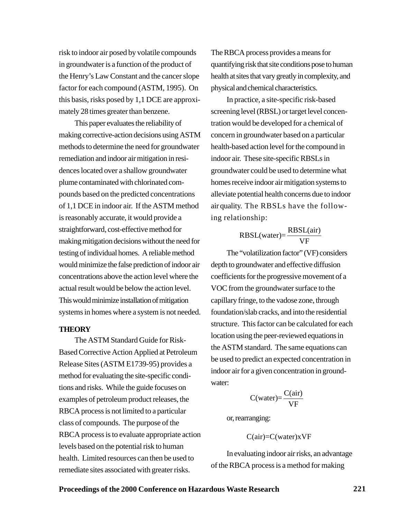risk to indoor air posed by volatile compounds in groundwater is a function of the product of the Henry's Law Constant and the cancer slope factor for each compound (ASTM, 1995). On this basis, risks posed by 1,1 DCE are approximately 28 times greater than benzene.

This paper evaluates the reliability of making corrective-action decisions using ASTM methods to determine the need for groundwater remediation and indoor air mitigation in residences located over a shallow groundwater plume contaminated with chlorinated compounds based on the predicted concentrations of 1,1 DCE in indoor air. If the ASTM method is reasonably accurate, it would provide a straightforward, cost-effective method for making mitigation decisions without the need for testing of individual homes. A reliable method would minimize the false prediction of indoor air concentrations above the action level where the actual result would be below the action level. This would minimize installation of mitigation systems in homes where a system is not needed.

#### **THEORY**

The ASTM Standard Guide for Risk-Based Corrective Action Applied at Petroleum Release Sites (ASTM E1739-95) provides a method for evaluating the site-specific conditions and risks. While the guide focuses on examples of petroleum product releases, the RBCA process is not limited to a particular class of compounds. The purpose of the RBCA process is to evaluate appropriate action levels based on the potential risk to human health. Limited resources can then be used to remediate sites associated with greater risks.

The RBCA process provides a means for quantifying risk that site conditions pose to human health at sites that vary greatly in complexity, and physical and chemical characteristics.

In practice, a site-specific risk-based screening level (RBSL) or target level concentration would be developed for a chemical of concern in groundwater based on a particular health-based action level for the compound in indoor air. These site-specific RBSLs in groundwater could be used to determine what homes receive indoor air mitigation systems to alleviate potential health concerns due to indoor air quality. The RBSLs have the following relationship:

$$
RBSL(water) = \frac{RBSL(air)}{VF}
$$

The "volatilization factor" (VF) considers depth to groundwater and effective diffusion coefficients for the progressive movement of a VOC from the groundwater surface to the capillary fringe, to the vadose zone, through foundation/slab cracks, and into the residential structure. This factor can be calculated for each location using the peer-reviewed equations in the ASTM standard. The same equations can be used to predict an expected concentration in indoor air for a given concentration in groundwater:

$$
C(water) = \frac{C-air)}{VF}
$$

or, rearranging:

$$
C(air)=C(water)xVF
$$

In evaluating indoor air risks, an advantage of the RBCA process is a method for making

## **Proceedings of the 2000 Conference on Hazardous Waste Research 221**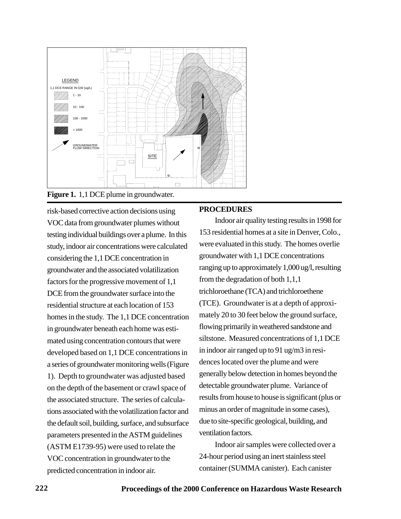

**Figure 1.** 1,1 DCE plume in groundwater.

risk-based corrective action decisions using VOC data from groundwater plumes without testing individual buildings over a plume. In this study, indoor air concentrations were calculated considering the 1,1 DCE concentration in groundwater and the associated volatilization factors for the progressive movement of 1,1 DCE from the groundwater surface into the residential structure at each location of 153 homes in the study. The 1,1 DCE concentration in groundwater beneath each home was estimated using concentration contours that were developed based on 1,1 DCE concentrations in a series of groundwater monitoring wells (Figure 1). Depth to groundwater was adjusted based on the depth of the basement or crawl space of the associated structure. The series of calculations associated with the volatilization factor and the default soil, building, surface, and subsurface parameters presented in the ASTM guidelines (ASTM E1739-95) were used to relate the VOC concentration in groundwater to the predicted concentration in indoor air.

# **PROCEDURES**

Indoor air quality testing results in 1998 for 153 residential homes at a site in Denver, Colo., were evaluated in this study. The homes overlie groundwater with 1,1 DCE concentrations ranging up to approximately 1,000 ug/l, resulting from the degradation of both 1,1,1 trichloroethane (TCA) and trichloroethene (TCE). Groundwater is at a depth of approximately 20 to 30 feet below the ground surface, flowing primarily in weathered sandstone and siltstone. Measured concentrations of 1,1 DCE in indoor air ranged up to 91 ug/m3 in residences located over the plume and were generally below detection in homes beyond the detectable groundwater plume. Variance of results from house to house is significant (plus or minus an order of magnitude in some cases), due to site-specific geological, building, and ventilation factors.

Indoor air samples were collected over a 24-hour period using an inert stainless steel container (SUMMA canister). Each canister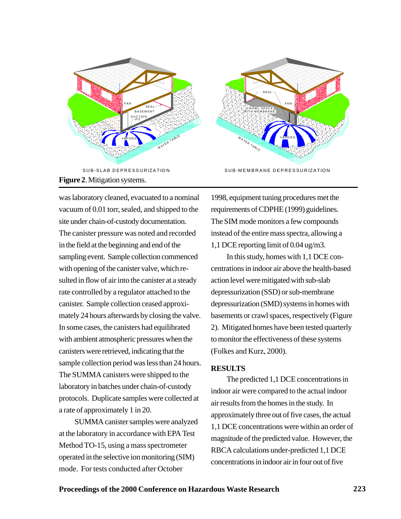

was laboratory cleaned, evacuated to a nominal vacuum of 0.01 torr, sealed, and shipped to the site under chain-of-custody documentation. The canister pressure was noted and recorded in the field at the beginning and end of the sampling event. Sample collection commenced with opening of the canister valve, which resulted in flow of air into the canister at a steady rate controlled by a regulator attached to the canister. Sample collection ceased approximately 24 hours afterwards by closing the valve. In some cases, the canisters had equilibrated with ambient atmospheric pressures when the canisters were retrieved, indicating that the sample collection period was less than 24 hours. The SUMMA canisters were shipped to the laboratory in batches under chain-of-custody protocols. Duplicate samples were collected at a rate of approximately 1 in 20.

SUMMA canister samples were analyzed at the laboratory in accordance with EPA Test Method TO-15, using a mass spectrometer operated in the selective ion monitoring (SIM) mode. For tests conducted after October

1998, equipment tuning procedures met the requirements of CDPHE (1999) guidelines. The SIM mode monitors a few compounds instead of the entire mass spectra, allowing a 1,1 DCE reporting limit of 0.04 ug/m3.

In this study, homes with 1,1 DCE concentrations in indoor air above the health-based action level were mitigated with sub-slab depressurization (SSD) or sub-membrane depressurization (SMD) systems in homes with basements or crawl spaces, respectively (Figure 2). Mitigated homes have been tested quarterly to monitor the effectiveness of these systems (Folkes and Kurz, 2000).

## **RESULTS**

The predicted 1,1 DCE concentrations in indoor air were compared to the actual indoor air results from the homes in the study. In approximately three out of five cases, the actual 1,1 DCE concentrations were within an order of magnitude of the predicted value. However, the RBCA calculations under-predicted 1,1 DCE concentrations in indoor air in four out of five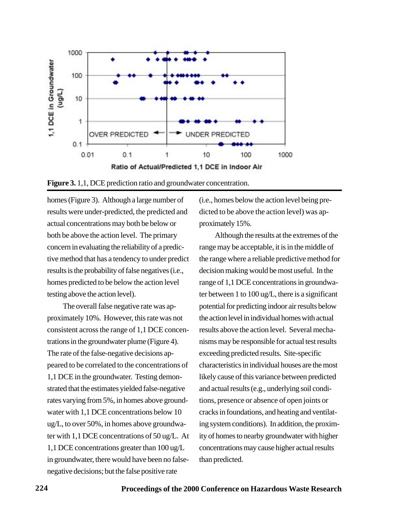

**Figure 3.** 1,1, DCE prediction ratio and groundwater concentration.

homes (Figure 3). Although a large number of results were under-predicted, the predicted and actual concentrations may both be below or both be above the action level. The primary concern in evaluating the reliability of a predictive method that has a tendency to under predict results is the probability of false negatives (i.e., homes predicted to be below the action level testing above the action level).

The overall false negative rate was approximately 10%. However, this rate was not consistent across the range of 1,1 DCE concentrations in the groundwater plume (Figure 4). The rate of the false-negative decisions appeared to be correlated to the concentrations of 1,1 DCE in the groundwater. Testing demonstrated that the estimates yielded false-negative rates varying from 5%, in homes above groundwater with 1,1 DCE concentrations below 10 ug/L, to over 50%, in homes above groundwater with 1,1 DCE concentrations of 50 ug/L. At 1,1 DCE concentrations greater than 100 ug/L in groundwater, there would have been no falsenegative decisions; but the false positive rate

(i.e., homes below the action level being predicted to be above the action level) was approximately 15%.

Although the results at the extremes of the range may be acceptable, it is in the middle of the range where a reliable predictive method for decision making would be most useful. In the range of 1,1 DCE concentrations in groundwater between 1 to 100 ug/L, there is a significant potential for predicting indoor air results below the action level in individual homes with actual results above the action level. Several mechanisms may be responsible for actual test results exceeding predicted results. Site-specific characteristics in individual houses are the most likely cause of this variance between predicted and actual results (e.g., underlying soil conditions, presence or absence of open joints or cracks in foundations, and heating and ventilating system conditions). In addition, the proximity of homes to nearby groundwater with higher concentrations may cause higher actual results than predicted.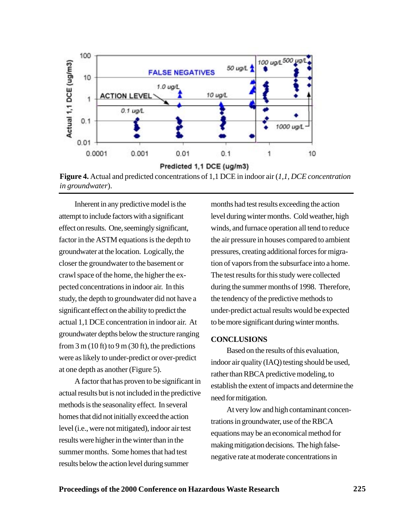

**Figure 4.** Actual and predicted concentrations of 1,1 DCE in indoor air (*1,1, DCE concentration in groundwater*).

Inherent in any predictive model is the attempt to include factors with a significant effect on results. One, seemingly significant, factor in the ASTM equations is the depth to groundwater at the location. Logically, the closer the groundwater to the basement or crawl space of the home, the higher the expected concentrations in indoor air. In this study, the depth to groundwater did not have a significant effect on the ability to predict the actual 1,1 DCE concentration in indoor air. At groundwater depths below the structure ranging from  $3 \text{ m}$  (10 ft) to  $9 \text{ m}$  (30 ft), the predictions were as likely to under-predict or over-predict at one depth as another (Figure 5).

A factor that has proven to be significant in actual results but is not included in the predictive methods is the seasonality effect. In several homes that did not initially exceed the action level (i.e., were not mitigated), indoor air test results were higher in the winter than in the summer months. Some homes that had test results below the action level during summer

months had test results exceeding the action level during winter months. Cold weather, high winds, and furnace operation all tend to reduce the air pressure in houses compared to ambient pressures, creating additional forces for migration of vapors from the subsurface into a home. The test results for this study were collected during the summer months of 1998. Therefore, the tendency of the predictive methods to under-predict actual results would be expected to be more significant during winter months.

#### **CONCLUSIONS**

Based on the results of this evaluation, indoor air quality (IAQ) testing should be used, rather than RBCA predictive modeling, to establish the extent of impacts and determine the need for mitigation.

At very low and high contaminant concentrations in groundwater, use of the RBCA equations may be an economical method for making mitigation decisions. The high falsenegative rate at moderate concentrations in